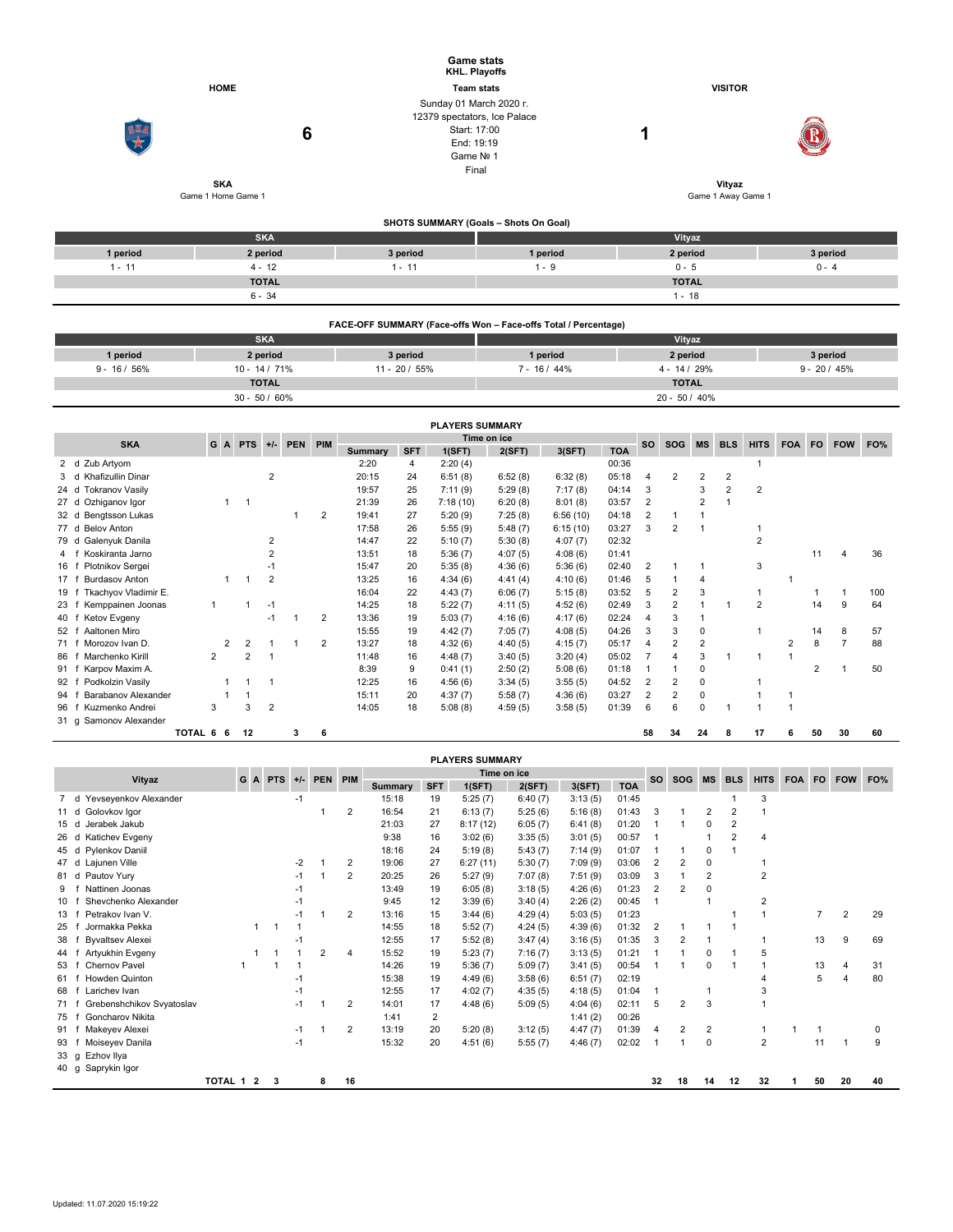|          |                    | <b>Game stats</b><br>KHL. Playoffs                                                                          |                    |                    |          |  |  |  |  |
|----------|--------------------|-------------------------------------------------------------------------------------------------------------|--------------------|--------------------|----------|--|--|--|--|
|          | <b>HOME</b>        | <b>Team stats</b>                                                                                           |                    | <b>VISITOR</b>     |          |  |  |  |  |
| SKA      | 6<br><b>SKA</b>    | Sunday 01 March 2020 r.<br>12379 spectators, Ice Palace<br>Start: 17:00<br>End: 19:19<br>Game Nº 1<br>Final |                    | л<br>Vityaz        |          |  |  |  |  |
|          | Game 1 Home Game 1 |                                                                                                             |                    | Game 1 Away Game 1 |          |  |  |  |  |
|          |                    | SHOTS SUMMARY (Goals - Shots On Goal)                                                                       |                    |                    |          |  |  |  |  |
|          | <b>SKA</b>         |                                                                                                             |                    | Vityaz             |          |  |  |  |  |
| 1 period | 2 period           | 3 period                                                                                                    | 1 period           | 2 period           | 3 period |  |  |  |  |
| $1 - 11$ | $4 - 12$           | $1 - 11$                                                                                                    | $1 - 9$<br>$0 - 5$ |                    |          |  |  |  |  |
|          | <b>TOTAL</b>       |                                                                                                             |                    | <b>TOTAL</b>       |          |  |  |  |  |

|              | FACE-OFF SUMMARY (Face-offs Won - Face-offs Total / Percentage) |                  |              |                  |          |  |  |  |  |  |  |  |  |  |
|--------------|-----------------------------------------------------------------|------------------|--------------|------------------|----------|--|--|--|--|--|--|--|--|--|
|              | <b>SKA</b>                                                      |                  | Vityaz       |                  |          |  |  |  |  |  |  |  |  |  |
| 1 period     | 2 period                                                        | 3 period         | 1 period     | 2 period         | 3 period |  |  |  |  |  |  |  |  |  |
| $9 - 16/56%$ | $10 - 14 / 71%$                                                 | $11 - 20 / 55\%$ | $7 - 16/44%$ | $9 - 20 / 45%$   |          |  |  |  |  |  |  |  |  |  |
|              | <b>TOTAL</b>                                                    |                  |              | <b>TOTAL</b>     |          |  |  |  |  |  |  |  |  |  |
|              | $30 - 50 / 60\%$                                                |                  |              | $20 - 50 / 40\%$ |          |  |  |  |  |  |  |  |  |  |

 $6 - 34$  1 - 18

| <b>PLAYERS SUMMARY</b> |                                   |           |   |         |                |            |     |             |            |          |         |          |            |           |                |                |            |                |            |           |            |     |
|------------------------|-----------------------------------|-----------|---|---------|----------------|------------|-----|-------------|------------|----------|---------|----------|------------|-----------|----------------|----------------|------------|----------------|------------|-----------|------------|-----|
|                        | <b>SKA</b>                        |           |   | G A PTS | $+/-$          | <b>PEN</b> | PIM | Time on ice |            |          |         |          |            | <b>SO</b> | <b>SOG</b>     | <b>MS</b>      | <b>BLS</b> | <b>HITS</b>    | <b>FOA</b> | <b>FO</b> | <b>FOW</b> | FO% |
|                        |                                   |           |   |         |                |            |     | Summary     | <b>SFT</b> | 1(SFT)   | 2(SFT)  | 3(SFT)   | <b>TOA</b> |           |                |                |            |                |            |           |            |     |
|                        | Zub Artyom<br>2 d                 |           |   |         |                |            |     | 2:20        | 4          | 2:20(4)  |         |          | 00:36      |           |                |                |            |                |            |           |            |     |
|                        | <b>Khafizullin Dinar</b><br>3 d   |           |   |         | $\overline{c}$ |            |     | 20:15       | 24         | 6:51(8)  | 6:52(8) | 6:32(8)  | 05:18      | 4         | 2              | $\overline{2}$ | 2          |                |            |           |            |     |
|                        | <b>Tokranov Vasily</b><br>24 d    |           |   |         |                |            |     | 19:57       | 25         | 7:11(9)  | 5:29(8) | 7:17(8)  | 04:14      | 3         |                | 3              | 2          | 2              |            |           |            |     |
|                        | Ozhiganov Igor<br>27 <sub>d</sub> |           |   | -1      |                |            |     | 21:39       | 26         | 7:18(10) | 6:20(8) | 8:01(8)  | 03:57      | 2         |                | $\overline{2}$ |            |                |            |           |            |     |
|                        | Bengtsson Lukas<br>32 d           |           |   |         |                |            | 2   | 19:41       | 27         | 5:20(9)  | 7:25(8) | 6:56(10) | 04:18      |           |                |                |            |                |            |           |            |     |
|                        | 77 d Belov Anton                  |           |   |         |                |            |     | 17:58       | 26         | 5:55(9)  | 5:48(7) | 6:15(10) | 03:27      | 3         | $\overline{2}$ |                |            |                |            |           |            |     |
|                        | Galenyuk Danila<br>79 d           |           |   |         | 2              |            |     | 14:47       | 22         | 5:10(7)  | 5:30(8) | 4:07(7)  | 02:32      |           |                |                |            | $\overline{2}$ |            |           |            |     |
| 4 f                    | Koskiranta Jarno                  |           |   |         |                |            |     | 13:51       | 18         | 5:36(7)  | 4:07(5) | 4:08(6)  | 01:41      |           |                |                |            |                |            | 11        |            | 36  |
| 16                     | Plotnikov Sergei                  |           |   |         | $-1$           |            |     | 15:47       | 20         | 5:35(8)  | 4:36(6) | 5:36(6)  | 02:40      |           |                |                |            | 3              |            |           |            |     |
| 17 <sub>1</sub>        | <b>Burdasov Anton</b>             |           |   |         | $\overline{2}$ |            |     | 13:25       | 16         | 4:34(6)  | 4:41(4) | 4:10(6)  | 01:46      | 5         |                |                |            |                |            |           |            |     |
| 19                     | Tkachyov Vladimir E.              |           |   |         |                |            |     | 16:04       | 22         | 4:43(7)  | 6:06(7) | 5:15(8)  | 03:52      | 5         | $\overline{2}$ | 3              |            |                |            |           |            | 100 |
| 23 <sub>1</sub>        | Kemppainen Joonas                 |           |   |         | $-1$           |            |     | 14:25       | 18         | 5:22(7)  | 4:11(5) | 4:52(6)  | 02:49      | 3         | 2              |                |            | $\overline{2}$ |            | 14        | 9          | 64  |
| 40 f                   | Ketov Evgeny                      |           |   |         | $-1$           |            | 2   | 13:36       | 19         | 5:03(7)  | 4:16(6) | 4:17(6)  | 02:24      | 4         | 3              |                |            |                |            |           |            |     |
| 52 f                   | Aaltonen Miro                     |           |   |         |                |            |     | 15:55       | 19         | 4:42(7)  | 7:05(7) | 4:08(5)  | 04:26      | 3         | 3              | 0              |            |                |            | 14        | 8          | 57  |
| 71 f                   | Morozov Ivan D.                   |           | 2 | 2       |                |            | 2   | 13:27       | 18         | 4:32(6)  | 4:40(5) | 4:15(7)  | 05:17      | 4         | $\overline{2}$ | $\overline{2}$ |            |                |            | 8         |            | 88  |
| 86                     | Marchenko Kirill                  |           | 2 | 2       |                |            |     | 11:48       | 16         | 4:48(7)  | 3:40(5) | 3:20(4)  | 05:02      |           | 4              | 3              |            |                |            |           |            |     |
| 91 f                   | Karpov Maxim A.                   |           |   |         |                |            |     | 8:39        | 9          | 0:41(1)  | 2:50(2) | 5:08(6)  | 01:18      |           |                | 0              |            |                |            | 2         |            | 50  |
| 92                     | Podkolzin Vasily                  |           |   |         |                |            |     | 12:25       | 16         | 4:56(6)  | 3:34(5) | 3:55(5)  | 04:52      | 2         | 2              | 0              |            |                |            |           |            |     |
| 94                     | Barabanov Alexander               |           |   |         |                |            |     | 15:11       | 20         | 4:37(7)  | 5:58(7) | 4:36(6)  | 03:27      | 2         | $\overline{2}$ | 0              |            |                |            |           |            |     |
| 96                     | Kuzmenko Andrei                   |           | 3 | 3       | $\overline{2}$ |            |     | 14:05       | 18         | 5:08(8)  | 4:59(5) | 3:58(5)  | 01:39      | 6         | 6              | $\mathbf 0$    |            |                |            |           |            |     |
|                        | 31 g Samonov Alexander            |           |   |         |                |            |     |             |            |          |         |          |            |           |                |                |            |                |            |           |            |     |
|                        |                                   | TOTAL 6 6 |   | 12      |                | 3          | 6   |             |            |          |         |          |            | 58        | 34             | 24             | 8          | 17             | 6          | 50        | 30         | 60  |

|      | <b>PLAYERS SUMMARY</b>                                         |           |   |    |      |   |                |         |            |          |         |         |            |                |                |                |                |                |           |                |     |          |
|------|----------------------------------------------------------------|-----------|---|----|------|---|----------------|---------|------------|----------|---------|---------|------------|----------------|----------------|----------------|----------------|----------------|-----------|----------------|-----|----------|
|      | Time on ice<br>PEN PIM<br>Vityaz<br><b>PTS</b><br>G A<br>$+/-$ |           |   |    |      |   |                |         |            |          |         |         | <b>SO</b>  | SOG MS         |                | <b>BLS</b>     | <b>HITS</b>    | <b>FOA</b>     | <b>FO</b> | <b>FOW</b>     | FO% |          |
|      |                                                                |           |   |    |      |   |                | Summary | <b>SFT</b> | 1(SFT)   | 2(SFT)  | 3(SFT)  | <b>TOA</b> |                |                |                |                |                |           |                |     |          |
| 7 d  | Yevseyenkov Alexander                                          |           |   |    | -1   |   |                | 15:18   | 19         | 5:25(7)  | 6:40(7) | 3:13(5) | 01:45      |                |                |                |                | 3              |           |                |     |          |
| 11 d | Golovkov Igor                                                  |           |   |    |      |   | $\overline{2}$ | 16:54   | 21         | 6:13(7)  | 5:25(6) | 5:16(8) | 01:43      | 3              |                | 2              | 2              |                |           |                |     |          |
| 15d  | Jerabek Jakub                                                  |           |   |    |      |   |                | 21:03   | 27         | 8:17(12) | 6:05(7) | 6:41(8) | 01:20      |                |                | 0              | 2              |                |           |                |     |          |
| 26   | Katichev Evgeny<br>d                                           |           |   |    |      |   |                | 9:38    | 16         | 3:02(6)  | 3:35(5) | 3:01(5) | 00:57      | $\overline{1}$ |                |                | $\overline{2}$ | $\overline{4}$ |           |                |     |          |
| 45 d | Pylenkov Daniil                                                |           |   |    |      |   |                | 18:16   | 24         | 5:19(8)  | 5:43(7) | 7:14(9) | 01:07      |                |                | 0              |                |                |           |                |     |          |
| 47 d | Lajunen Ville                                                  |           |   |    | $-2$ |   | 2              | 19:06   | 27         | 6:27(11) | 5:30(7) | 7:09(9) | 03:06      | 2              | 2              | 0              |                |                |           |                |     |          |
| 81 d | Pautov Yury                                                    |           |   |    | -1   |   | 2              | 20:25   | 26         | 5:27(9)  | 7:07(8) | 7:51(9) | 03:09      | 3              |                | $\overline{2}$ |                | $\overline{2}$ |           |                |     |          |
| 9    | Nattinen Joonas                                                |           |   |    | $-1$ |   |                | 13:49   | 19         | 6:05(8)  | 3:18(5) | 4:26(6) | 01:23      | 2              | $\overline{2}$ | $\Omega$       |                |                |           |                |     |          |
| 10   | Shevchenko Alexander                                           |           |   |    |      |   |                | 9:45    | 12         | 3:39(6)  | 3:40(4) | 2:26(2) | 00:45      | $\mathbf 1$    |                |                |                | $\overline{2}$ |           |                |     |          |
| 13   | Petrakov Ivan V.                                               |           |   |    | $-1$ |   | 2              | 13:16   | 15         | 3:44(6)  | 4:29(4) | 5:03(5) | 01:23      |                |                |                |                |                |           | $\overline{7}$ | 2   | 29       |
| 25   | Jormakka Pekka                                                 |           | 1 |    |      |   |                | 14:55   | 18         | 5:52(7)  | 4:24(5) | 4:39(6) | 01:32      | $\overline{2}$ |                |                |                |                |           |                |     |          |
| 38   | <b>Byvaltsev Alexei</b>                                        |           |   |    |      |   |                | 12:55   | 17         | 5:52(8)  | 3:47(4) | 3:16(5) | 01:35      | 3              | $\overline{2}$ |                |                |                |           | 13             | 9   | 69       |
| 44   | Artyukhin Evgeny                                               |           |   |    |      | 2 | 4              | 15:52   | 19         | 5:23(7)  | 7:16(7) | 3:13(5) | 01:21      |                |                | 0              |                | 5              |           |                |     |          |
| 53   | Chernov Pavel                                                  |           |   |    |      |   |                | 14:26   | 19         | 5:36(7)  | 5:09(7) | 3:41(5) | 00:54      | -1             |                | $\Omega$       |                |                |           | 13             | 4   | 31       |
| 61   | <b>Howden Quinton</b>                                          |           |   |    | $-1$ |   |                | 15:38   | 19         | 4:49(6)  | 3:58(6) | 6:51(7) | 02:19      |                |                |                |                |                |           | 5              |     | 80       |
| 68   | Larichev Ivan                                                  |           |   |    | $-1$ |   |                | 12:55   | 17         | 4:02(7)  | 4:35(5) | 4:18(5) | 01:04      | $\overline{1}$ |                |                |                |                |           |                |     |          |
| 71   | Grebenshchikov Svyatoslav                                      |           |   |    | $-1$ |   | 2              | 14:01   | 17         | 4:48(6)  | 5:09(5) | 4:04(6) | 02:11      | 5              | 2              | 3              |                |                |           |                |     |          |
| 75   | Goncharov Nikita                                               |           |   |    |      |   |                | 1:41    | 2          |          |         | 1:41(2) | 00:26      |                |                |                |                |                |           |                |     |          |
| 91   | Makeyev Alexei                                                 |           |   |    | $-1$ |   | 2              | 13:19   | 20         | 5:20(8)  | 3:12(5) | 4:47(7) | 01:39      | $\overline{4}$ | 2              | 2              |                |                |           |                |     | $\Omega$ |
| 93   | Moiseyev Danila                                                |           |   |    | $-1$ |   |                | 15:32   | 20         | 4:51(6)  | 5:55(7) | 4:46(7) | 02:02      | -1             |                | 0              |                | $\overline{2}$ |           | 11             |     | 9        |
| 33 g | Ezhov Ilya                                                     |           |   |    |      |   |                |         |            |          |         |         |            |                |                |                |                |                |           |                |     |          |
| 40 g | Saprykin Igor                                                  |           |   |    |      |   |                |         |            |          |         |         |            |                |                |                |                |                |           |                |     |          |
|      |                                                                | TOTAL 1 2 |   | -3 |      | 8 | 16             |         |            |          |         |         |            | 32             | 18             | 14             | 12             | 32             |           | 50             | 20  | 40       |